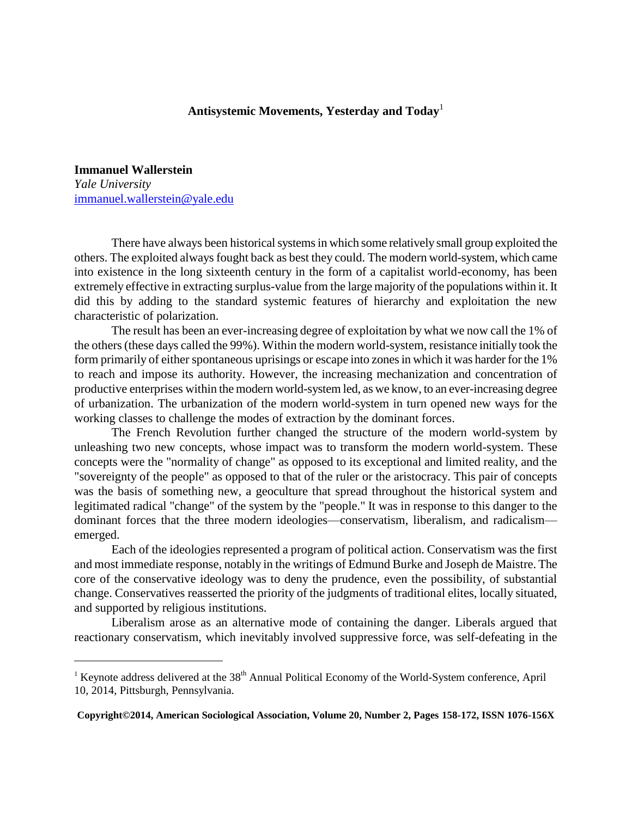# **Antisystemic Movements, Yesterday and Today**<sup>1</sup>

**Immanuel Wallerstein** *Yale University* [immanuel.wallerstein@yale.edu](mailto:immanuel.wallerstein@yale.edu)

i.

There have always been historical systems in which some relatively small group exploited the others. The exploited always fought back as best they could. The modern world-system, which came into existence in the long sixteenth century in the form of a capitalist world-economy, has been extremely effective in extracting surplus-value from the large majority of the populations within it. It did this by adding to the standard systemic features of hierarchy and exploitation the new characteristic of polarization.

The result has been an ever-increasing degree of exploitation by what we now call the 1% of the others (these days called the 99%). Within the modern world-system, resistance initially took the form primarily of either spontaneous uprisings or escape into zones in which it was harder for the 1% to reach and impose its authority. However, the increasing mechanization and concentration of productive enterprises within the modern world-system led, as we know, to an ever-increasing degree of urbanization. The urbanization of the modern world-system in turn opened new ways for the working classes to challenge the modes of extraction by the dominant forces.

The French Revolution further changed the structure of the modern world-system by unleashing two new concepts, whose impact was to transform the modern world-system. These concepts were the "normality of change" as opposed to its exceptional and limited reality, and the "sovereignty of the people" as opposed to that of the ruler or the aristocracy. This pair of concepts was the basis of something new, a geoculture that spread throughout the historical system and legitimated radical "change" of the system by the "people." It was in response to this danger to the dominant forces that the three modern ideologies—conservatism, liberalism, and radicalism emerged.

Each of the ideologies represented a program of political action. Conservatism was the first and most immediate response, notably in the writings of Edmund Burke and Joseph de Maistre. The core of the conservative ideology was to deny the prudence, even the possibility, of substantial change. Conservatives reasserted the priority of the judgments of traditional elites, locally situated, and supported by religious institutions.

Liberalism arose as an alternative mode of containing the danger. Liberals argued that reactionary conservatism, which inevitably involved suppressive force, was self-defeating in the

**Copyright©2014, American Sociological Association, Volume 20, Number 2, Pages 158-172, ISSN 1076-156X**

<sup>&</sup>lt;sup>1</sup> Keynote address delivered at the  $38<sup>th</sup>$  Annual Political Economy of the World-System conference, April 10, 2014, Pittsburgh, Pennsylvania.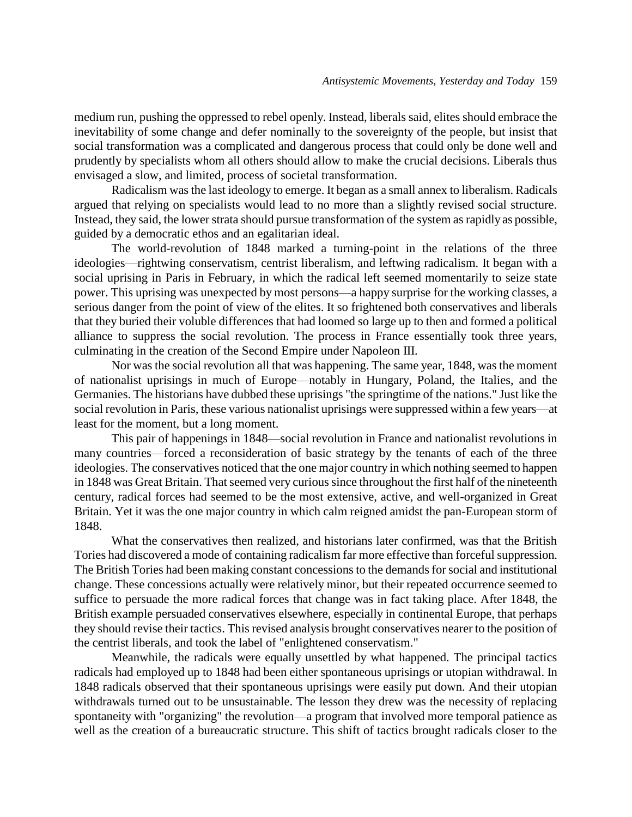medium run, pushing the oppressed to rebel openly. Instead, liberals said, elites should embrace the inevitability of some change and defer nominally to the sovereignty of the people, but insist that social transformation was a complicated and dangerous process that could only be done well and prudently by specialists whom all others should allow to make the crucial decisions. Liberals thus envisaged a slow, and limited, process of societal transformation.

Radicalism was the last ideology to emerge. It began as a small annex to liberalism. Radicals argued that relying on specialists would lead to no more than a slightly revised social structure. Instead, they said, the lower strata should pursue transformation of the system as rapidly as possible, guided by a democratic ethos and an egalitarian ideal.

The world-revolution of 1848 marked a turning-point in the relations of the three ideologies—rightwing conservatism, centrist liberalism, and leftwing radicalism. It began with a social uprising in Paris in February, in which the radical left seemed momentarily to seize state power. This uprising was unexpected by most persons—a happy surprise for the working classes, a serious danger from the point of view of the elites. It so frightened both conservatives and liberals that they buried their voluble differences that had loomed so large up to then and formed a political alliance to suppress the social revolution. The process in France essentially took three years, culminating in the creation of the Second Empire under Napoleon III.

Nor was the social revolution all that was happening. The same year, 1848, was the moment of nationalist uprisings in much of Europe—notably in Hungary, Poland, the Italies, and the Germanies. The historians have dubbed these uprisings "the springtime of the nations." Just like the social revolution in Paris, these various nationalist uprisings were suppressed within a few years—at least for the moment, but a long moment.

This pair of happenings in 1848—social revolution in France and nationalist revolutions in many countries—forced a reconsideration of basic strategy by the tenants of each of the three ideologies. The conservatives noticed that the one major country in which nothing seemed to happen in 1848 was Great Britain. That seemed very curious since throughout the first half of the nineteenth century, radical forces had seemed to be the most extensive, active, and well-organized in Great Britain. Yet it was the one major country in which calm reigned amidst the pan-European storm of 1848.

What the conservatives then realized, and historians later confirmed, was that the British Tories had discovered a mode of containing radicalism far more effective than forceful suppression. The British Tories had been making constant concessions to the demands for social and institutional change. These concessions actually were relatively minor, but their repeated occurrence seemed to suffice to persuade the more radical forces that change was in fact taking place. After 1848, the British example persuaded conservatives elsewhere, especially in continental Europe, that perhaps they should revise their tactics. This revised analysis brought conservatives nearer to the position of the centrist liberals, and took the label of "enlightened conservatism."

Meanwhile, the radicals were equally unsettled by what happened. The principal tactics radicals had employed up to 1848 had been either spontaneous uprisings or utopian withdrawal. In 1848 radicals observed that their spontaneous uprisings were easily put down. And their utopian withdrawals turned out to be unsustainable. The lesson they drew was the necessity of replacing spontaneity with "organizing" the revolution—a program that involved more temporal patience as well as the creation of a bureaucratic structure. This shift of tactics brought radicals closer to the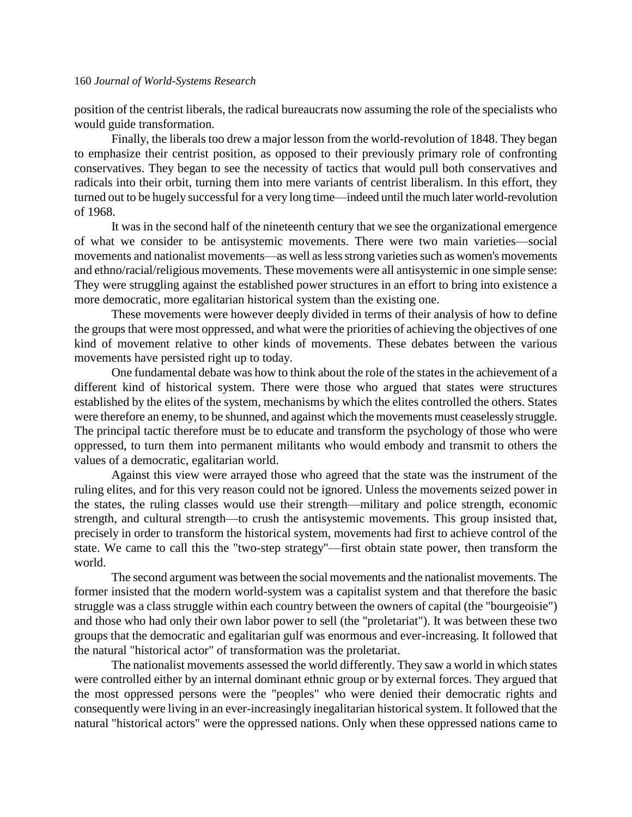position of the centrist liberals, the radical bureaucrats now assuming the role of the specialists who would guide transformation.

Finally, the liberals too drew a major lesson from the world-revolution of 1848. They began to emphasize their centrist position, as opposed to their previously primary role of confronting conservatives. They began to see the necessity of tactics that would pull both conservatives and radicals into their orbit, turning them into mere variants of centrist liberalism. In this effort, they turned out to be hugely successful for a very long time—indeed until the much later world-revolution of 1968.

It was in the second half of the nineteenth century that we see the organizational emergence of what we consider to be antisystemic movements. There were two main varieties—social movements and nationalist movements—as well as less strong varieties such as women's movements and ethno/racial/religious movements. These movements were all antisystemic in one simple sense: They were struggling against the established power structures in an effort to bring into existence a more democratic, more egalitarian historical system than the existing one.

These movements were however deeply divided in terms of their analysis of how to define the groups that were most oppressed, and what were the priorities of achieving the objectives of one kind of movement relative to other kinds of movements. These debates between the various movements have persisted right up to today.

One fundamental debate was how to think about the role of the states in the achievement of a different kind of historical system. There were those who argued that states were structures established by the elites of the system, mechanisms by which the elites controlled the others. States were therefore an enemy, to be shunned, and against which the movements must ceaselessly struggle. The principal tactic therefore must be to educate and transform the psychology of those who were oppressed, to turn them into permanent militants who would embody and transmit to others the values of a democratic, egalitarian world.

Against this view were arrayed those who agreed that the state was the instrument of the ruling elites, and for this very reason could not be ignored. Unless the movements seized power in the states, the ruling classes would use their strength—military and police strength, economic strength, and cultural strength—to crush the antisystemic movements. This group insisted that, precisely in order to transform the historical system, movements had first to achieve control of the state. We came to call this the "two-step strategy"—first obtain state power, then transform the world.

The second argument was between the social movements and the nationalist movements. The former insisted that the modern world-system was a capitalist system and that therefore the basic struggle was a class struggle within each country between the owners of capital (the "bourgeoisie") and those who had only their own labor power to sell (the "proletariat"). It was between these two groups that the democratic and egalitarian gulf was enormous and ever-increasing. It followed that the natural "historical actor" of transformation was the proletariat.

The nationalist movements assessed the world differently. They saw a world in which states were controlled either by an internal dominant ethnic group or by external forces. They argued that the most oppressed persons were the "peoples" who were denied their democratic rights and consequently were living in an ever-increasingly inegalitarian historical system. It followed that the natural "historical actors" were the oppressed nations. Only when these oppressed nations came to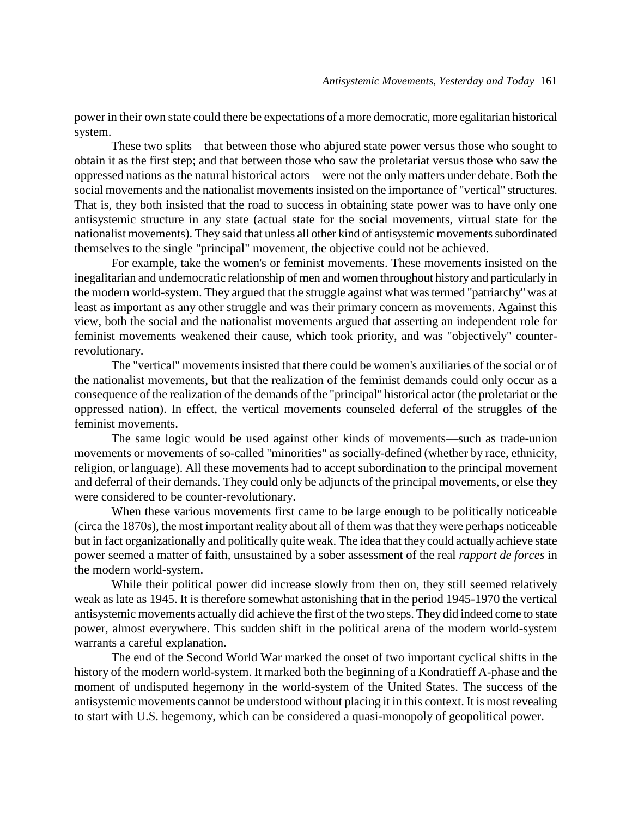power in their own state could there be expectations of a more democratic, more egalitarian historical system.

These two splits—that between those who abjured state power versus those who sought to obtain it as the first step; and that between those who saw the proletariat versus those who saw the oppressed nations as the natural historical actors—were not the only matters under debate. Both the social movements and the nationalist movements insisted on the importance of "vertical" structures. That is, they both insisted that the road to success in obtaining state power was to have only one antisystemic structure in any state (actual state for the social movements, virtual state for the nationalist movements). They said that unless all other kind of antisystemic movements subordinated themselves to the single "principal" movement, the objective could not be achieved.

For example, take the women's or feminist movements. These movements insisted on the inegalitarian and undemocratic relationship of men and women throughout history and particularly in the modern world-system. They argued that the struggle against what was termed "patriarchy" was at least as important as any other struggle and was their primary concern as movements. Against this view, both the social and the nationalist movements argued that asserting an independent role for feminist movements weakened their cause, which took priority, and was "objectively" counterrevolutionary.

The "vertical" movements insisted that there could be women's auxiliaries of the social or of the nationalist movements, but that the realization of the feminist demands could only occur as a consequence of the realization of the demands of the "principal" historical actor (the proletariat or the oppressed nation). In effect, the vertical movements counseled deferral of the struggles of the feminist movements.

The same logic would be used against other kinds of movements—such as trade-union movements or movements of so-called "minorities" as socially-defined (whether by race, ethnicity, religion, or language). All these movements had to accept subordination to the principal movement and deferral of their demands. They could only be adjuncts of the principal movements, or else they were considered to be counter-revolutionary.

When these various movements first came to be large enough to be politically noticeable (circa the 1870s), the most important reality about all of them was that they were perhaps noticeable but in fact organizationally and politically quite weak. The idea that they could actually achieve state power seemed a matter of faith, unsustained by a sober assessment of the real *rapport de forces* in the modern world-system.

While their political power did increase slowly from then on, they still seemed relatively weak as late as 1945. It is therefore somewhat astonishing that in the period 1945-1970 the vertical antisystemic movements actually did achieve the first of the two steps. They did indeed come to state power, almost everywhere. This sudden shift in the political arena of the modern world-system warrants a careful explanation.

The end of the Second World War marked the onset of two important cyclical shifts in the history of the modern world-system. It marked both the beginning of a Kondratieff A-phase and the moment of undisputed hegemony in the world-system of the United States. The success of the antisystemic movements cannot be understood without placing it in this context. It is most revealing to start with U.S. hegemony, which can be considered a quasi-monopoly of geopolitical power.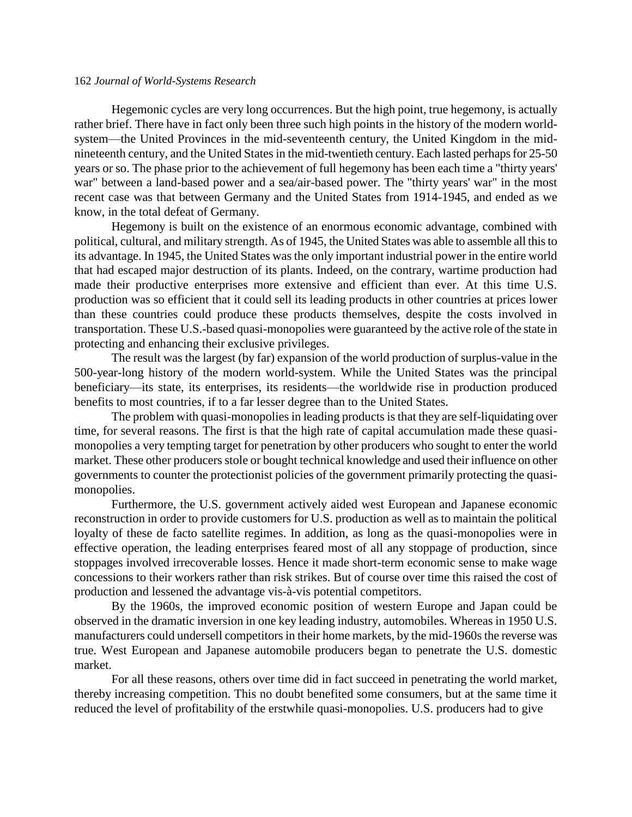Hegemonic cycles are very long occurrences. But the high point, true hegemony, is actually rather brief. There have in fact only been three such high points in the history of the modern worldsystem—the United Provinces in the mid-seventeenth century, the United Kingdom in the midnineteenth century, and the United States in the mid-twentieth century. Each lasted perhaps for 25-50 years or so. The phase prior to the achievement of full hegemony has been each time a "thirty years' war" between a land-based power and a sea/air-based power. The "thirty years' war" in the most recent case was that between Germany and the United States from 1914-1945, and ended as we know, in the total defeat of Germany.

Hegemony is built on the existence of an enormous economic advantage, combined with political, cultural, and military strength. As of 1945, the United States was able to assemble all this to its advantage. In 1945, the United States was the only important industrial power in the entire world that had escaped major destruction of its plants. Indeed, on the contrary, wartime production had made their productive enterprises more extensive and efficient than ever. At this time U.S. production was so efficient that it could sell its leading products in other countries at prices lower than these countries could produce these products themselves, despite the costs involved in transportation. These U.S.-based quasi-monopolies were guaranteed by the active role of the state in protecting and enhancing their exclusive privileges.

The result was the largest (by far) expansion of the world production of surplus-value in the 500-year-long history of the modern world-system. While the United States was the principal beneficiary—its state, its enterprises, its residents—the worldwide rise in production produced benefits to most countries, if to a far lesser degree than to the United States.

The problem with quasi-monopolies in leading products is that they are self-liquidating over time, for several reasons. The first is that the high rate of capital accumulation made these quasimonopolies a very tempting target for penetration by other producers who sought to enter the world market. These other producers stole or bought technical knowledge and used their influence on other governments to counter the protectionist policies of the government primarily protecting the quasimonopolies.

Furthermore, the U.S. government actively aided west European and Japanese economic reconstruction in order to provide customers for U.S. production as well as to maintain the political loyalty of these de facto satellite regimes. In addition, as long as the quasi-monopolies were in effective operation, the leading enterprises feared most of all any stoppage of production, since stoppages involved irrecoverable losses. Hence it made short-term economic sense to make wage concessions to their workers rather than risk strikes. But of course over time this raised the cost of production and lessened the advantage vis-à-vis potential competitors.

By the 1960s, the improved economic position of western Europe and Japan could be observed in the dramatic inversion in one key leading industry, automobiles. Whereas in 1950 U.S. manufacturers could undersell competitors in their home markets, by the mid-1960s the reverse was true. West European and Japanese automobile producers began to penetrate the U.S. domestic market.

For all these reasons, others over time did in fact succeed in penetrating the world market, thereby increasing competition. This no doubt benefited some consumers, but at the same time it reduced the level of profitability of the erstwhile quasi-monopolies. U.S. producers had to give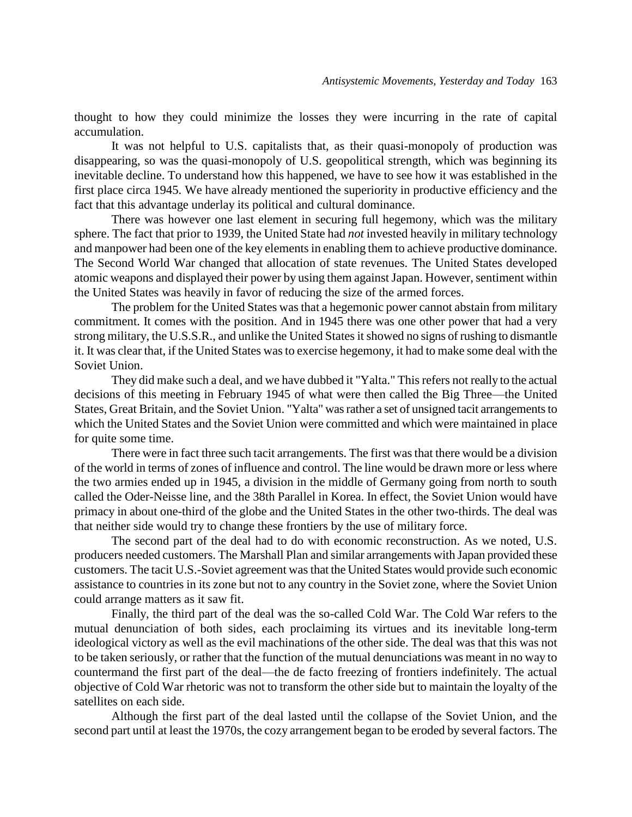thought to how they could minimize the losses they were incurring in the rate of capital accumulation.

It was not helpful to U.S. capitalists that, as their quasi-monopoly of production was disappearing, so was the quasi-monopoly of U.S. geopolitical strength, which was beginning its inevitable decline. To understand how this happened, we have to see how it was established in the first place circa 1945. We have already mentioned the superiority in productive efficiency and the fact that this advantage underlay its political and cultural dominance.

There was however one last element in securing full hegemony, which was the military sphere. The fact that prior to 1939, the United State had *not* invested heavily in military technology and manpower had been one of the key elements in enabling them to achieve productive dominance. The Second World War changed that allocation of state revenues. The United States developed atomic weapons and displayed their power by using them against Japan. However, sentiment within the United States was heavily in favor of reducing the size of the armed forces.

The problem for the United States was that a hegemonic power cannot abstain from military commitment. It comes with the position. And in 1945 there was one other power that had a very strong military, the U.S.S.R., and unlike the United States it showed no signs of rushing to dismantle it. It was clear that, if the United States was to exercise hegemony, it had to make some deal with the Soviet Union.

They did make such a deal, and we have dubbed it "Yalta." This refers not really to the actual decisions of this meeting in February 1945 of what were then called the Big Three—the United States, Great Britain, and the Soviet Union. "Yalta" was rather a set of unsigned tacit arrangements to which the United States and the Soviet Union were committed and which were maintained in place for quite some time.

There were in fact three such tacit arrangements. The first was that there would be a division of the world in terms of zones of influence and control. The line would be drawn more or less where the two armies ended up in 1945, a division in the middle of Germany going from north to south called the Oder-Neisse line, and the 38th Parallel in Korea. In effect, the Soviet Union would have primacy in about one-third of the globe and the United States in the other two-thirds. The deal was that neither side would try to change these frontiers by the use of military force.

The second part of the deal had to do with economic reconstruction. As we noted, U.S. producers needed customers. The Marshall Plan and similar arrangements with Japan provided these customers. The tacit U.S.-Soviet agreement was that the United States would provide such economic assistance to countries in its zone but not to any country in the Soviet zone, where the Soviet Union could arrange matters as it saw fit.

Finally, the third part of the deal was the so-called Cold War. The Cold War refers to the mutual denunciation of both sides, each proclaiming its virtues and its inevitable long-term ideological victory as well as the evil machinations of the other side. The deal was that this was not to be taken seriously, or rather that the function of the mutual denunciations was meant in no way to countermand the first part of the deal—the de facto freezing of frontiers indefinitely. The actual objective of Cold War rhetoric was not to transform the other side but to maintain the loyalty of the satellites on each side.

Although the first part of the deal lasted until the collapse of the Soviet Union, and the second part until at least the 1970s, the cozy arrangement began to be eroded by several factors. The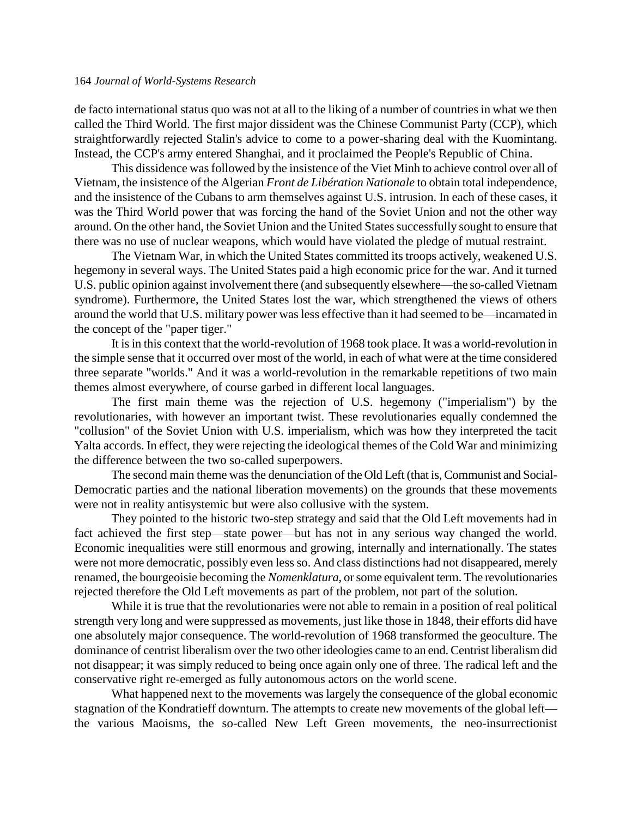de facto international status quo was not at all to the liking of a number of countries in what we then called the Third World. The first major dissident was the Chinese Communist Party (CCP), which straightforwardly rejected Stalin's advice to come to a power-sharing deal with the Kuomintang. Instead, the CCP's army entered Shanghai, and it proclaimed the People's Republic of China.

This dissidence was followed by the insistence of the Viet Minh to achieve control over all of Vietnam, the insistence of the Algerian *Front de Libération Nationale* to obtain total independence, and the insistence of the Cubans to arm themselves against U.S. intrusion. In each of these cases, it was the Third World power that was forcing the hand of the Soviet Union and not the other way around. On the other hand, the Soviet Union and the United States successfully sought to ensure that there was no use of nuclear weapons, which would have violated the pledge of mutual restraint.

The Vietnam War, in which the United States committed its troops actively, weakened U.S. hegemony in several ways. The United States paid a high economic price for the war. And it turned U.S. public opinion against involvement there (and subsequently elsewhere—the so-called Vietnam syndrome). Furthermore, the United States lost the war, which strengthened the views of others around the world that U.S. military power was less effective than it had seemed to be—incarnated in the concept of the "paper tiger."

It is in this context that the world-revolution of 1968 took place. It was a world-revolution in the simple sense that it occurred over most of the world, in each of what were at the time considered three separate "worlds." And it was a world-revolution in the remarkable repetitions of two main themes almost everywhere, of course garbed in different local languages.

The first main theme was the rejection of U.S. hegemony ("imperialism") by the revolutionaries, with however an important twist. These revolutionaries equally condemned the "collusion" of the Soviet Union with U.S. imperialism, which was how they interpreted the tacit Yalta accords. In effect, they were rejecting the ideological themes of the Cold War and minimizing the difference between the two so-called superpowers.

The second main theme was the denunciation of the Old Left (that is, Communist and Social-Democratic parties and the national liberation movements) on the grounds that these movements were not in reality antisystemic but were also collusive with the system.

They pointed to the historic two-step strategy and said that the Old Left movements had in fact achieved the first step—state power—but has not in any serious way changed the world. Economic inequalities were still enormous and growing, internally and internationally. The states were not more democratic, possibly even less so. And class distinctions had not disappeared, merely renamed, the bourgeoisie becoming the *Nomenklatura*, or some equivalent term. The revolutionaries rejected therefore the Old Left movements as part of the problem, not part of the solution.

While it is true that the revolutionaries were not able to remain in a position of real political strength very long and were suppressed as movements, just like those in 1848, their efforts did have one absolutely major consequence. The world-revolution of 1968 transformed the geoculture. The dominance of centrist liberalism over the two other ideologies came to an end. Centrist liberalism did not disappear; it was simply reduced to being once again only one of three. The radical left and the conservative right re-emerged as fully autonomous actors on the world scene.

What happened next to the movements was largely the consequence of the global economic stagnation of the Kondratieff downturn. The attempts to create new movements of the global left the various Maoisms, the so-called New Left Green movements, the neo-insurrectionist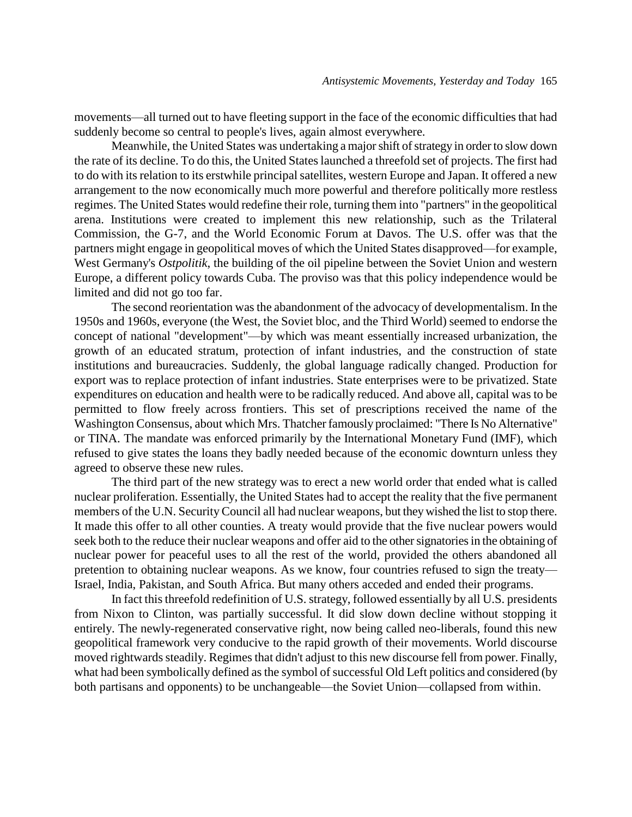movements—all turned out to have fleeting support in the face of the economic difficulties that had suddenly become so central to people's lives, again almost everywhere.

Meanwhile, the United States was undertaking a major shift of strategy in order to slow down the rate of its decline. To do this, the United States launched a threefold set of projects. The first had to do with its relation to its erstwhile principal satellites, western Europe and Japan. It offered a new arrangement to the now economically much more powerful and therefore politically more restless regimes. The United States would redefine their role, turning them into "partners" in the geopolitical arena. Institutions were created to implement this new relationship, such as the Trilateral Commission, the G-7, and the World Economic Forum at Davos. The U.S. offer was that the partners might engage in geopolitical moves of which the United States disapproved—for example, West Germany's *Ostpolitik*, the building of the oil pipeline between the Soviet Union and western Europe, a different policy towards Cuba. The proviso was that this policy independence would be limited and did not go too far.

The second reorientation was the abandonment of the advocacy of developmentalism. In the 1950s and 1960s, everyone (the West, the Soviet bloc, and the Third World) seemed to endorse the concept of national "development"—by which was meant essentially increased urbanization, the growth of an educated stratum, protection of infant industries, and the construction of state institutions and bureaucracies. Suddenly, the global language radically changed. Production for export was to replace protection of infant industries. State enterprises were to be privatized. State expenditures on education and health were to be radically reduced. And above all, capital was to be permitted to flow freely across frontiers. This set of prescriptions received the name of the Washington Consensus, about which Mrs. Thatcher famously proclaimed: "There Is No Alternative" or TINA. The mandate was enforced primarily by the International Monetary Fund (IMF), which refused to give states the loans they badly needed because of the economic downturn unless they agreed to observe these new rules.

The third part of the new strategy was to erect a new world order that ended what is called nuclear proliferation. Essentially, the United States had to accept the reality that the five permanent members of the U.N. Security Council all had nuclear weapons, but they wished the list to stop there. It made this offer to all other counties. A treaty would provide that the five nuclear powers would seek both to the reduce their nuclear weapons and offer aid to the other signatories in the obtaining of nuclear power for peaceful uses to all the rest of the world, provided the others abandoned all pretention to obtaining nuclear weapons. As we know, four countries refused to sign the treaty— Israel, India, Pakistan, and South Africa. But many others acceded and ended their programs.

In fact this threefold redefinition of U.S. strategy, followed essentially by all U.S. presidents from Nixon to Clinton, was partially successful. It did slow down decline without stopping it entirely. The newly-regenerated conservative right, now being called neo-liberals, found this new geopolitical framework very conducive to the rapid growth of their movements. World discourse moved rightwards steadily. Regimes that didn't adjust to this new discourse fell from power. Finally, what had been symbolically defined as the symbol of successful Old Left politics and considered (by both partisans and opponents) to be unchangeable—the Soviet Union—collapsed from within.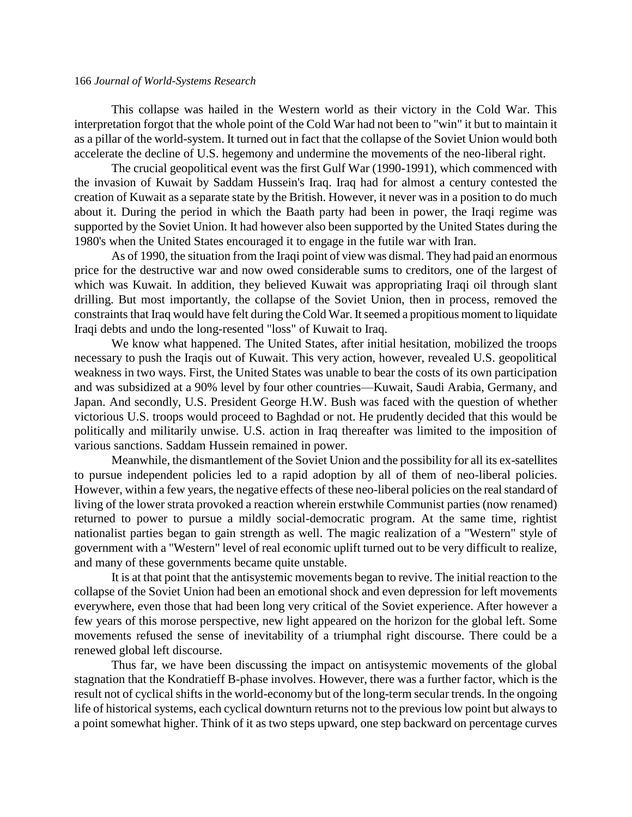This collapse was hailed in the Western world as their victory in the Cold War. This interpretation forgot that the whole point of the Cold War had not been to "win" it but to maintain it as a pillar of the world-system. It turned out in fact that the collapse of the Soviet Union would both accelerate the decline of U.S. hegemony and undermine the movements of the neo-liberal right.

The crucial geopolitical event was the first Gulf War (1990-1991), which commenced with the invasion of Kuwait by Saddam Hussein's Iraq. Iraq had for almost a century contested the creation of Kuwait as a separate state by the British. However, it never was in a position to do much about it. During the period in which the Baath party had been in power, the Iraqi regime was supported by the Soviet Union. It had however also been supported by the United States during the 1980's when the United States encouraged it to engage in the futile war with Iran.

As of 1990, the situation from the Iraqi point of view was dismal. They had paid an enormous price for the destructive war and now owed considerable sums to creditors, one of the largest of which was Kuwait. In addition, they believed Kuwait was appropriating Iraqi oil through slant drilling. But most importantly, the collapse of the Soviet Union, then in process, removed the constraints that Iraq would have felt during the Cold War. It seemed a propitious moment to liquidate Iraqi debts and undo the long-resented "loss" of Kuwait to Iraq.

We know what happened. The United States, after initial hesitation, mobilized the troops necessary to push the Iraqis out of Kuwait. This very action, however, revealed U.S. geopolitical weakness in two ways. First, the United States was unable to bear the costs of its own participation and was subsidized at a 90% level by four other countries—Kuwait, Saudi Arabia, Germany, and Japan. And secondly, U.S. President George H.W. Bush was faced with the question of whether victorious U.S. troops would proceed to Baghdad or not. He prudently decided that this would be politically and militarily unwise. U.S. action in Iraq thereafter was limited to the imposition of various sanctions. Saddam Hussein remained in power.

Meanwhile, the dismantlement of the Soviet Union and the possibility for all its ex-satellites to pursue independent policies led to a rapid adoption by all of them of neo-liberal policies. However, within a few years, the negative effects of these neo-liberal policies on the real standard of living of the lower strata provoked a reaction wherein erstwhile Communist parties (now renamed) returned to power to pursue a mildly social-democratic program. At the same time, rightist nationalist parties began to gain strength as well. The magic realization of a "Western" style of government with a "Western" level of real economic uplift turned out to be very difficult to realize, and many of these governments became quite unstable.

It is at that point that the antisystemic movements began to revive. The initial reaction to the collapse of the Soviet Union had been an emotional shock and even depression for left movements everywhere, even those that had been long very critical of the Soviet experience. After however a few years of this morose perspective, new light appeared on the horizon for the global left. Some movements refused the sense of inevitability of a triumphal right discourse. There could be a renewed global left discourse.

Thus far, we have been discussing the impact on antisystemic movements of the global stagnation that the Kondratieff B-phase involves. However, there was a further factor, which is the result not of cyclical shifts in the world-economy but of the long-term secular trends. In the ongoing life of historical systems, each cyclical downturn returns not to the previous low point but always to a point somewhat higher. Think of it as two steps upward, one step backward on percentage curves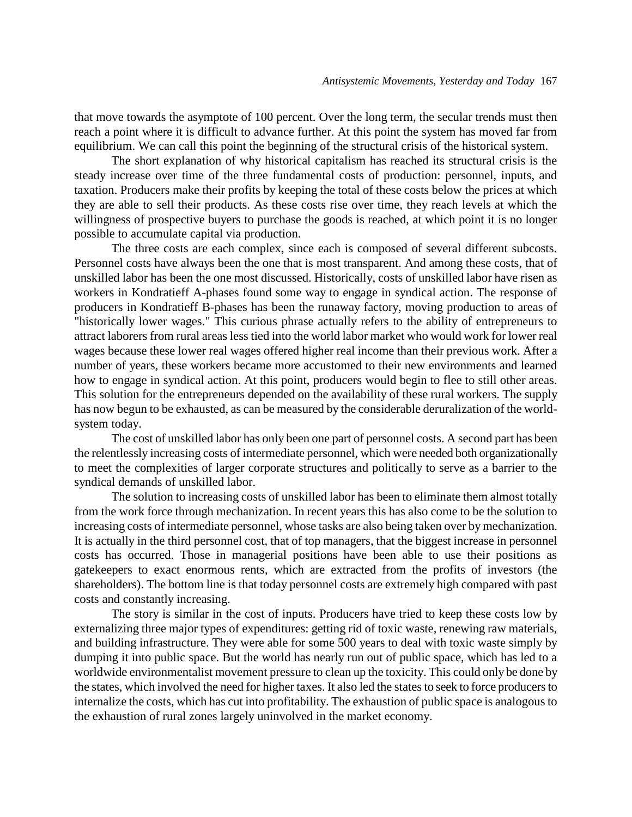that move towards the asymptote of 100 percent. Over the long term, the secular trends must then reach a point where it is difficult to advance further. At this point the system has moved far from equilibrium. We can call this point the beginning of the structural crisis of the historical system.

The short explanation of why historical capitalism has reached its structural crisis is the steady increase over time of the three fundamental costs of production: personnel, inputs, and taxation. Producers make their profits by keeping the total of these costs below the prices at which they are able to sell their products. As these costs rise over time, they reach levels at which the willingness of prospective buyers to purchase the goods is reached, at which point it is no longer possible to accumulate capital via production.

The three costs are each complex, since each is composed of several different subcosts. Personnel costs have always been the one that is most transparent. And among these costs, that of unskilled labor has been the one most discussed. Historically, costs of unskilled labor have risen as workers in Kondratieff A-phases found some way to engage in syndical action. The response of producers in Kondratieff B-phases has been the runaway factory, moving production to areas of "historically lower wages." This curious phrase actually refers to the ability of entrepreneurs to attract laborers from rural areas less tied into the world labor market who would work for lower real wages because these lower real wages offered higher real income than their previous work. After a number of years, these workers became more accustomed to their new environments and learned how to engage in syndical action. At this point, producers would begin to flee to still other areas. This solution for the entrepreneurs depended on the availability of these rural workers. The supply has now begun to be exhausted, as can be measured by the considerable deruralization of the worldsystem today.

The cost of unskilled labor has only been one part of personnel costs. A second part has been the relentlessly increasing costs of intermediate personnel, which were needed both organizationally to meet the complexities of larger corporate structures and politically to serve as a barrier to the syndical demands of unskilled labor.

The solution to increasing costs of unskilled labor has been to eliminate them almost totally from the work force through mechanization. In recent years this has also come to be the solution to increasing costs of intermediate personnel, whose tasks are also being taken over by mechanization. It is actually in the third personnel cost, that of top managers, that the biggest increase in personnel costs has occurred. Those in managerial positions have been able to use their positions as gatekeepers to exact enormous rents, which are extracted from the profits of investors (the shareholders). The bottom line is that today personnel costs are extremely high compared with past costs and constantly increasing.

The story is similar in the cost of inputs. Producers have tried to keep these costs low by externalizing three major types of expenditures: getting rid of toxic waste, renewing raw materials, and building infrastructure. They were able for some 500 years to deal with toxic waste simply by dumping it into public space. But the world has nearly run out of public space, which has led to a worldwide environmentalist movement pressure to clean up the toxicity. This could only be done by the states, which involved the need for higher taxes. It also led the states to seek to force producers to internalize the costs, which has cut into profitability. The exhaustion of public space is analogous to the exhaustion of rural zones largely uninvolved in the market economy.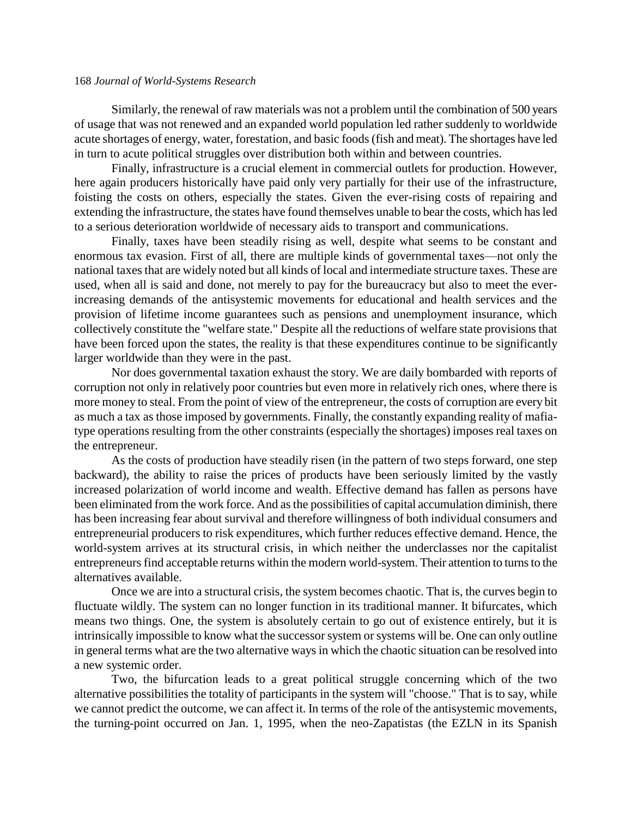Similarly, the renewal of raw materials was not a problem until the combination of 500 years of usage that was not renewed and an expanded world population led rather suddenly to worldwide acute shortages of energy, water, forestation, and basic foods (fish and meat). The shortages have led in turn to acute political struggles over distribution both within and between countries.

Finally, infrastructure is a crucial element in commercial outlets for production. However, here again producers historically have paid only very partially for their use of the infrastructure, foisting the costs on others, especially the states. Given the ever-rising costs of repairing and extending the infrastructure, the states have found themselves unable to bear the costs, which has led to a serious deterioration worldwide of necessary aids to transport and communications.

Finally, taxes have been steadily rising as well, despite what seems to be constant and enormous tax evasion. First of all, there are multiple kinds of governmental taxes—not only the national taxes that are widely noted but all kinds of local and intermediate structure taxes. These are used, when all is said and done, not merely to pay for the bureaucracy but also to meet the everincreasing demands of the antisystemic movements for educational and health services and the provision of lifetime income guarantees such as pensions and unemployment insurance, which collectively constitute the "welfare state." Despite all the reductions of welfare state provisions that have been forced upon the states, the reality is that these expenditures continue to be significantly larger worldwide than they were in the past.

Nor does governmental taxation exhaust the story. We are daily bombarded with reports of corruption not only in relatively poor countries but even more in relatively rich ones, where there is more money to steal. From the point of view of the entrepreneur, the costs of corruption are every bit as much a tax as those imposed by governments. Finally, the constantly expanding reality of mafiatype operations resulting from the other constraints (especially the shortages) imposes real taxes on the entrepreneur.

As the costs of production have steadily risen (in the pattern of two steps forward, one step backward), the ability to raise the prices of products have been seriously limited by the vastly increased polarization of world income and wealth. Effective demand has fallen as persons have been eliminated from the work force. And as the possibilities of capital accumulation diminish, there has been increasing fear about survival and therefore willingness of both individual consumers and entrepreneurial producers to risk expenditures, which further reduces effective demand. Hence, the world-system arrives at its structural crisis, in which neither the underclasses nor the capitalist entrepreneurs find acceptable returns within the modern world-system. Their attention to turns to the alternatives available.

Once we are into a structural crisis, the system becomes chaotic. That is, the curves begin to fluctuate wildly. The system can no longer function in its traditional manner. It bifurcates, which means two things. One, the system is absolutely certain to go out of existence entirely, but it is intrinsically impossible to know what the successor system or systems will be. One can only outline in general terms what are the two alternative ways in which the chaotic situation can be resolved into a new systemic order.

Two, the bifurcation leads to a great political struggle concerning which of the two alternative possibilities the totality of participants in the system will "choose." That is to say, while we cannot predict the outcome, we can affect it. In terms of the role of the antisystemic movements, the turning-point occurred on Jan. 1, 1995, when the neo-Zapatistas (the EZLN in its Spanish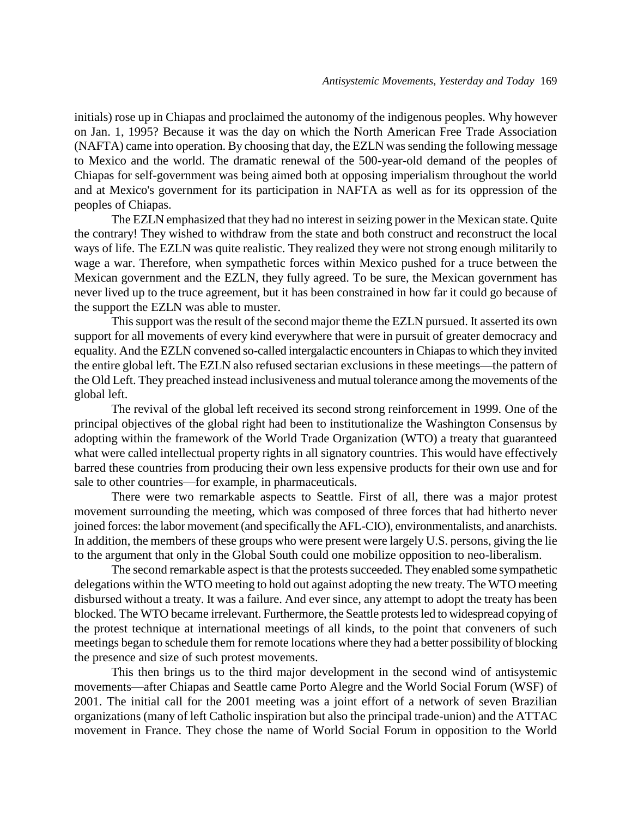initials) rose up in Chiapas and proclaimed the autonomy of the indigenous peoples. Why however on Jan. 1, 1995? Because it was the day on which the North American Free Trade Association (NAFTA) came into operation. By choosing that day, the EZLN was sending the following message to Mexico and the world. The dramatic renewal of the 500-year-old demand of the peoples of Chiapas for self-government was being aimed both at opposing imperialism throughout the world and at Mexico's government for its participation in NAFTA as well as for its oppression of the peoples of Chiapas.

The EZLN emphasized that they had no interest in seizing power in the Mexican state. Quite the contrary! They wished to withdraw from the state and both construct and reconstruct the local ways of life. The EZLN was quite realistic. They realized they were not strong enough militarily to wage a war. Therefore, when sympathetic forces within Mexico pushed for a truce between the Mexican government and the EZLN, they fully agreed. To be sure, the Mexican government has never lived up to the truce agreement, but it has been constrained in how far it could go because of the support the EZLN was able to muster.

This support was the result of the second major theme the EZLN pursued. It asserted its own support for all movements of every kind everywhere that were in pursuit of greater democracy and equality. And the EZLN convened so-called intergalactic encounters in Chiapas to which they invited the entire global left. The EZLN also refused sectarian exclusions in these meetings—the pattern of the Old Left. They preached instead inclusiveness and mutual tolerance among the movements of the global left.

The revival of the global left received its second strong reinforcement in 1999. One of the principal objectives of the global right had been to institutionalize the Washington Consensus by adopting within the framework of the World Trade Organization (WTO) a treaty that guaranteed what were called intellectual property rights in all signatory countries. This would have effectively barred these countries from producing their own less expensive products for their own use and for sale to other countries—for example, in pharmaceuticals.

There were two remarkable aspects to Seattle. First of all, there was a major protest movement surrounding the meeting, which was composed of three forces that had hitherto never joined forces: the labor movement (and specifically the AFL-CIO), environmentalists, and anarchists. In addition, the members of these groups who were present were largely U.S. persons, giving the lie to the argument that only in the Global South could one mobilize opposition to neo-liberalism.

The second remarkable aspect is that the protests succeeded. They enabled some sympathetic delegations within the WTO meeting to hold out against adopting the new treaty. The WTO meeting disbursed without a treaty. It was a failure. And ever since, any attempt to adopt the treaty has been blocked. The WTO became irrelevant. Furthermore, the Seattle protests led to widespread copying of the protest technique at international meetings of all kinds, to the point that conveners of such meetings began to schedule them for remote locations where they had a better possibility of blocking the presence and size of such protest movements.

This then brings us to the third major development in the second wind of antisystemic movements—after Chiapas and Seattle came Porto Alegre and the World Social Forum (WSF) of 2001. The initial call for the 2001 meeting was a joint effort of a network of seven Brazilian organizations (many of left Catholic inspiration but also the principal trade-union) and the ATTAC movement in France. They chose the name of World Social Forum in opposition to the World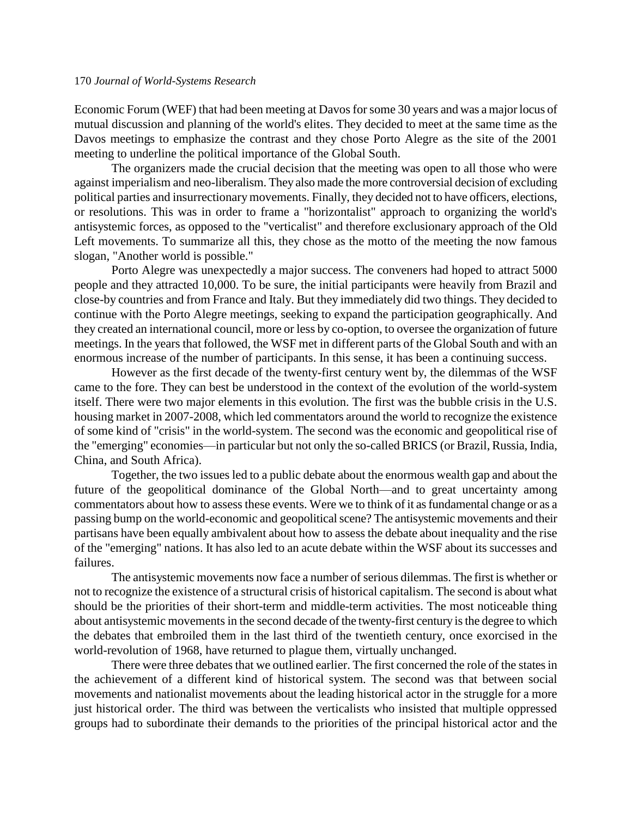Economic Forum (WEF) that had been meeting at Davos for some 30 years and was a major locus of mutual discussion and planning of the world's elites. They decided to meet at the same time as the Davos meetings to emphasize the contrast and they chose Porto Alegre as the site of the 2001 meeting to underline the political importance of the Global South.

The organizers made the crucial decision that the meeting was open to all those who were against imperialism and neo-liberalism. They also made the more controversial decision of excluding political parties and insurrectionary movements. Finally, they decided not to have officers, elections, or resolutions. This was in order to frame a "horizontalist" approach to organizing the world's antisystemic forces, as opposed to the "verticalist" and therefore exclusionary approach of the Old Left movements. To summarize all this, they chose as the motto of the meeting the now famous slogan, "Another world is possible."

Porto Alegre was unexpectedly a major success. The conveners had hoped to attract 5000 people and they attracted 10,000. To be sure, the initial participants were heavily from Brazil and close-by countries and from France and Italy. But they immediately did two things. They decided to continue with the Porto Alegre meetings, seeking to expand the participation geographically. And they created an international council, more or less by co-option, to oversee the organization of future meetings. In the years that followed, the WSF met in different parts of the Global South and with an enormous increase of the number of participants. In this sense, it has been a continuing success.

However as the first decade of the twenty-first century went by, the dilemmas of the WSF came to the fore. They can best be understood in the context of the evolution of the world-system itself. There were two major elements in this evolution. The first was the bubble crisis in the U.S. housing market in 2007-2008, which led commentators around the world to recognize the existence of some kind of "crisis" in the world-system. The second was the economic and geopolitical rise of the "emerging" economies—in particular but not only the so-called BRICS (or Brazil, Russia, India, China, and South Africa).

Together, the two issues led to a public debate about the enormous wealth gap and about the future of the geopolitical dominance of the Global North—and to great uncertainty among commentators about how to assess these events. Were we to think of it as fundamental change or as a passing bump on the world-economic and geopolitical scene? The antisystemic movements and their partisans have been equally ambivalent about how to assess the debate about inequality and the rise of the "emerging" nations. It has also led to an acute debate within the WSF about its successes and failures.

The antisystemic movements now face a number of serious dilemmas. The first is whether or not to recognize the existence of a structural crisis of historical capitalism. The second is about what should be the priorities of their short-term and middle-term activities. The most noticeable thing about antisystemic movements in the second decade of the twenty-first century is the degree to which the debates that embroiled them in the last third of the twentieth century, once exorcised in the world-revolution of 1968, have returned to plague them, virtually unchanged.

There were three debates that we outlined earlier. The first concerned the role of the states in the achievement of a different kind of historical system. The second was that between social movements and nationalist movements about the leading historical actor in the struggle for a more just historical order. The third was between the verticalists who insisted that multiple oppressed groups had to subordinate their demands to the priorities of the principal historical actor and the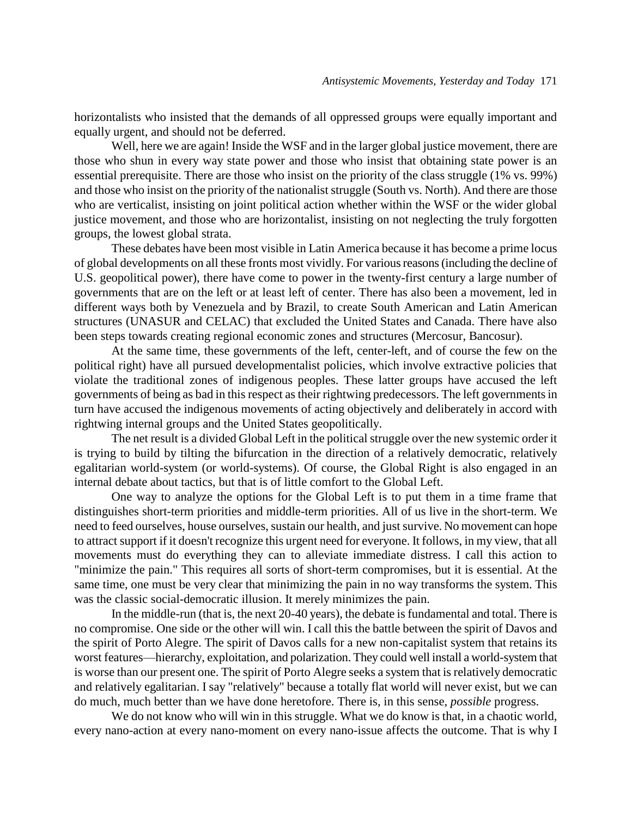horizontalists who insisted that the demands of all oppressed groups were equally important and equally urgent, and should not be deferred.

Well, here we are again! Inside the WSF and in the larger global justice movement, there are those who shun in every way state power and those who insist that obtaining state power is an essential prerequisite. There are those who insist on the priority of the class struggle (1% vs. 99%) and those who insist on the priority of the nationalist struggle (South vs. North). And there are those who are verticalist, insisting on joint political action whether within the WSF or the wider global justice movement, and those who are horizontalist, insisting on not neglecting the truly forgotten groups, the lowest global strata.

These debates have been most visible in Latin America because it has become a prime locus of global developments on all these fronts most vividly. For various reasons (including the decline of U.S. geopolitical power), there have come to power in the twenty-first century a large number of governments that are on the left or at least left of center. There has also been a movement, led in different ways both by Venezuela and by Brazil, to create South American and Latin American structures (UNASUR and CELAC) that excluded the United States and Canada. There have also been steps towards creating regional economic zones and structures (Mercosur, Bancosur).

At the same time, these governments of the left, center-left, and of course the few on the political right) have all pursued developmentalist policies, which involve extractive policies that violate the traditional zones of indigenous peoples. These latter groups have accused the left governments of being as bad in this respect as their rightwing predecessors. The left governments in turn have accused the indigenous movements of acting objectively and deliberately in accord with rightwing internal groups and the United States geopolitically.

The net result is a divided Global Left in the political struggle over the new systemic order it is trying to build by tilting the bifurcation in the direction of a relatively democratic, relatively egalitarian world-system (or world-systems). Of course, the Global Right is also engaged in an internal debate about tactics, but that is of little comfort to the Global Left.

One way to analyze the options for the Global Left is to put them in a time frame that distinguishes short-term priorities and middle-term priorities. All of us live in the short-term. We need to feed ourselves, house ourselves, sustain our health, and just survive. No movement can hope to attract support if it doesn't recognize this urgent need for everyone. It follows, in my view, that all movements must do everything they can to alleviate immediate distress. I call this action to "minimize the pain." This requires all sorts of short-term compromises, but it is essential. At the same time, one must be very clear that minimizing the pain in no way transforms the system. This was the classic social-democratic illusion. It merely minimizes the pain.

In the middle-run (that is, the next 20-40 years), the debate is fundamental and total. There is no compromise. One side or the other will win. I call this the battle between the spirit of Davos and the spirit of Porto Alegre. The spirit of Davos calls for a new non-capitalist system that retains its worst features—hierarchy, exploitation, and polarization. They could well install a world-system that is worse than our present one. The spirit of Porto Alegre seeks a system that is relatively democratic and relatively egalitarian. I say "relatively" because a totally flat world will never exist, but we can do much, much better than we have done heretofore. There is, in this sense, *possible* progress.

We do not know who will win in this struggle. What we do know is that, in a chaotic world, every nano-action at every nano-moment on every nano-issue affects the outcome. That is why I